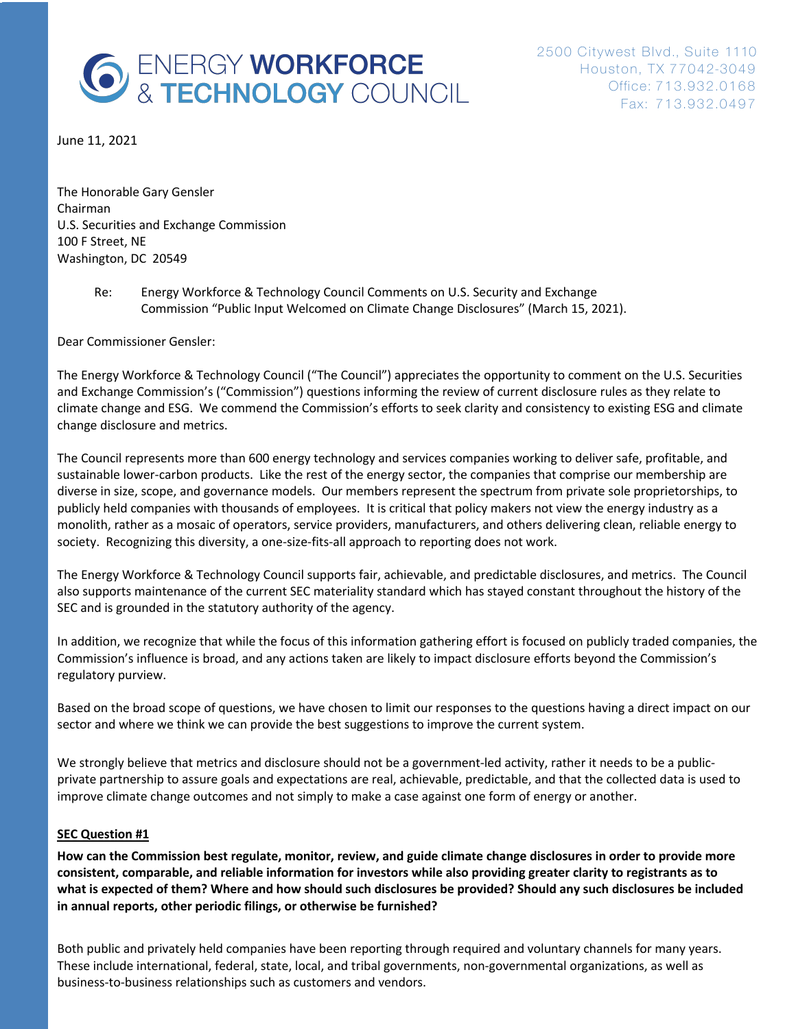

June 11, 2021

The Honorable Gary Gensler Chairman U.S. Securities and Exchange Commission 100 F Street, NE Washington, DC 20549

> Re: Energy Workforce & Technology Council Comments on U.S. Security and Exchange Commission "Public Input Welcomed on Climate Change Disclosures" (March 15, 2021).

Dear Commissioner Gensler:

The Energy Workforce & Technology Council ("The Council") appreciates the opportunity to comment on the U.S. Securities and Exchange Commission's ("Commission") questions informing the review of current disclosure rules as they relate to climate change and ESG. We commend the Commission's efforts to seek clarity and consistency to existing ESG and climate change disclosure and metrics.

The Council represents more than 600 energy technology and services companies working to deliver safe, profitable, and sustainable lower-carbon products. Like the rest of the energy sector, the companies that comprise our membership are diverse in size, scope, and governance models. Our members represent the spectrum from private sole proprietorships, to publicly held companies with thousands of employees. It is critical that policy makers not view the energy industry as a monolith, rather as a mosaic of operators, service providers, manufacturers, and others delivering clean, reliable energy to society. Recognizing this diversity, a one-size-fits-all approach to reporting does not work.

The Energy Workforce & Technology Council supports fair, achievable, and predictable disclosures, and metrics. The Council also supports maintenance of the current SEC materiality standard which has stayed constant throughout the history of the SEC and is grounded in the statutory authority of the agency.

In addition, we recognize that while the focus of this information gathering effort is focused on publicly traded companies, the Commission's influence is broad, and any actions taken are likely to impact disclosure efforts beyond the Commission's regulatory purview.

Based on the broad scope of questions, we have chosen to limit our responses to the questions having a direct impact on our sector and where we think we can provide the best suggestions to improve the current system.

We strongly believe that metrics and disclosure should not be a government-led activity, rather it needs to be a publicprivate partnership to assure goals and expectations are real, achievable, predictable, and that the collected data is used to improve climate change outcomes and not simply to make a case against one form of energy or another.

## **SEC Question #1**

**How can the Commission best regulate, monitor, review, and guide climate change disclosures in order to provide more consistent, comparable, and reliable information for investors while also providing greater clarity to registrants as to what is expected of them? Where and how should such disclosures be provided? Should any such disclosures be included in annual reports, other periodic filings, or otherwise be furnished?**

Both public and privately held companies have been reporting through required and voluntary channels for many years. These include international, federal, state, local, and tribal governments, non-governmental organizations, as well as business-to-business relationships such as customers and vendors.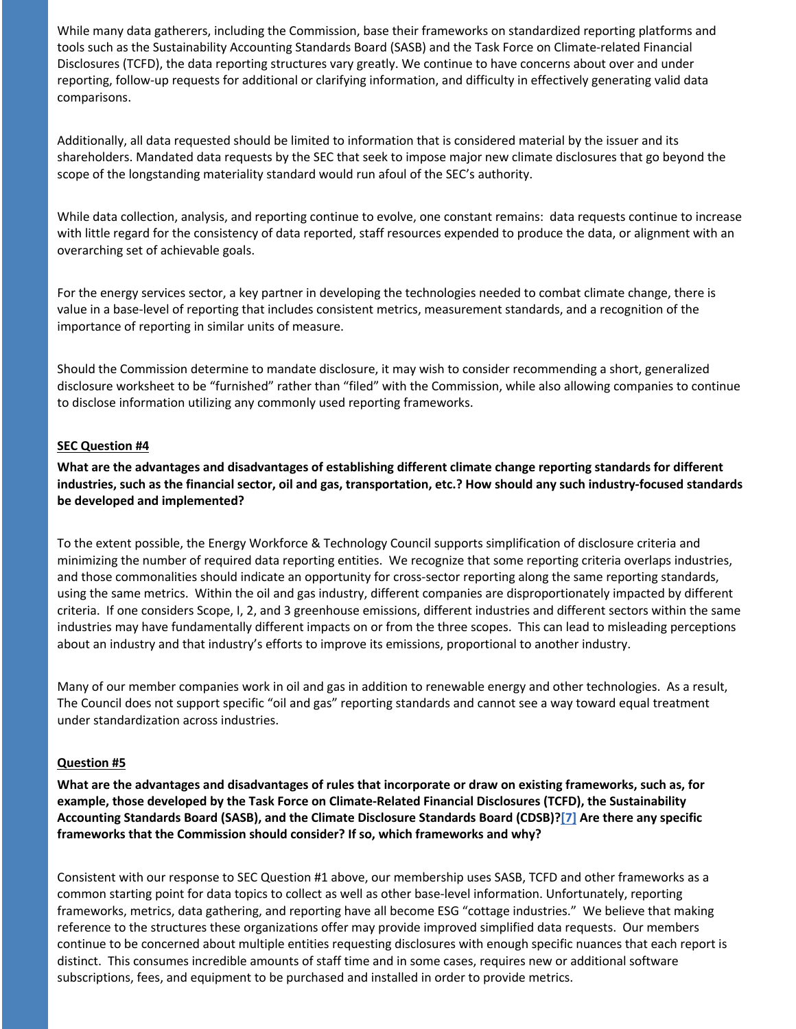While many data gatherers, including the Commission, base their frameworks on standardized reporting platforms and tools such as the Sustainability Accounting Standards Board (SASB) and the Task Force on Climate-related Financial Disclosures (TCFD), the data reporting structures vary greatly. We continue to have concerns about over and under reporting, follow-up requests for additional or clarifying information, and difficulty in effectively generating valid data comparisons.

Additionally, all data requested should be limited to information that is considered material by the issuer and its shareholders. Mandated data requests by the SEC that seek to impose major new climate disclosures that go beyond the scope of the longstanding materiality standard would run afoul of the SEC's authority.

While data collection, analysis, and reporting continue to evolve, one constant remains: data requests continue to increase with little regard for the consistency of data reported, staff resources expended to produce the data, or alignment with an overarching set of achievable goals.

For the energy services sector, a key partner in developing the technologies needed to combat climate change, there is value in a base-level of reporting that includes consistent metrics, measurement standards, and a recognition of the importance of reporting in similar units of measure.

Should the Commission determine to mandate disclosure, it may wish to consider recommending a short, generalized disclosure worksheet to be "furnished" rather than "filed" with the Commission, while also allowing companies to continue to disclose information utilizing any commonly used reporting frameworks.

## **SEC Question #4**

**What are the advantages and disadvantages of establishing different climate change reporting standards for different industries, such as the financial sector, oil and gas, transportation, etc.? How should any such industry-focused standards be developed and implemented?**

To the extent possible, the Energy Workforce & Technology Council supports simplification of disclosure criteria and minimizing the number of required data reporting entities. We recognize that some reporting criteria overlaps industries, and those commonalities should indicate an opportunity for cross-sector reporting along the same reporting standards, using the same metrics. Within the oil and gas industry, different companies are disproportionately impacted by different criteria. If one considers Scope, I, 2, and 3 greenhouse emissions, different industries and different sectors within the same industries may have fundamentally different impacts on or from the three scopes. This can lead to misleading perceptions about an industry and that industry's efforts to improve its emissions, proportional to another industry.

Many of our member companies work in oil and gas in addition to renewable energy and other technologies. As a result, The Council does not support specific "oil and gas" reporting standards and cannot see a way toward equal treatment under standardization across industries.

## **Question #5**

**What are the advantages and disadvantages of rules that incorporate or draw on existing frameworks, such as, for example, those developed by the Task Force on Climate-Related Financial Disclosures (TCFD), the Sustainability Accounting Standards Board (SASB), and the Climate Disclosure Standards Board (CDSB)?[7] Are there any specific frameworks that the Commission should consider? If so, which frameworks and why?**

Consistent with our response to SEC Question #1 above, our membership uses SASB, TCFD and other frameworks as a common starting point for data topics to collect as well as other base-level information. Unfortunately, reporting frameworks, metrics, data gathering, and reporting have all become ESG "cottage industries." We believe that making reference to the structures these organizations offer may provide improved simplified data requests. Our members continue to be concerned about multiple entities requesting disclosures with enough specific nuances that each report is distinct. This consumes incredible amounts of staff time and in some cases, requires new or additional software subscriptions, fees, and equipment to be purchased and installed in order to provide metrics.